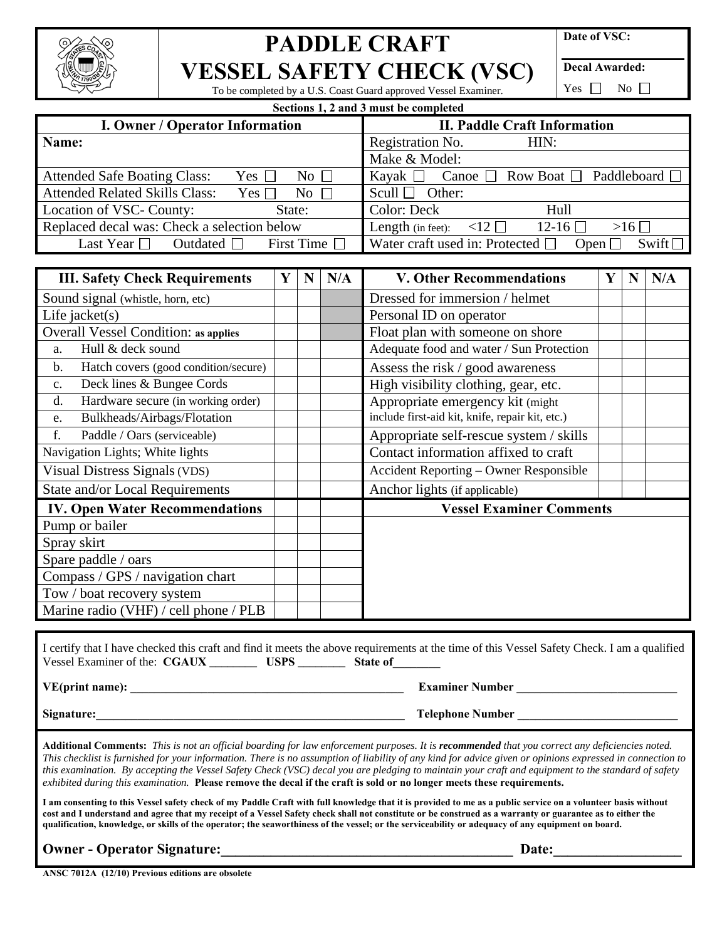

## **PADDLE CRAFT VESSEL SAFETY CHECK (VSC)**

**Date of VSC:** 

**Decal Awarded:** 

To be completed by a U.S. Coast Guard approved Vessel Examiner.

**Sections 1, 2 and 3 must be completed** 

Yes  $\Box$  No  $\Box$ 

| <b>I. Owner / Operator Information</b>                                | <b>II. Paddle Craft Information</b>                                        |  |  |  |  |
|-----------------------------------------------------------------------|----------------------------------------------------------------------------|--|--|--|--|
| Name:                                                                 | Registration No.<br>HIN:                                                   |  |  |  |  |
|                                                                       | Make & Model:                                                              |  |  |  |  |
| <b>Attended Safe Boating Class:</b><br>Yes $\Box$<br>No $\Box$        | Canoe $\Box$ Row Boat $\Box$ Paddleboard $\Box$<br>Kayak $\Box$            |  |  |  |  |
| <b>Attended Related Skills Class:</b><br>$No \ \square$<br>Yes $\Box$ | Scull $\Box$ Other:                                                        |  |  |  |  |
| Location of VSC- County:<br>State:                                    | Color: Deck<br>Hull                                                        |  |  |  |  |
| Replaced decal was: Check a selection below                           | $12-16$ $\Box$<br>Length (in feet): $\langle 12 \square$<br>$>16$ $\Box$   |  |  |  |  |
| First Time $\Box$<br>Last Year $\Box$<br>Outdated $\Box$              | Water craft used in: Protected $\square$<br>Swift $\square$<br>Open $\Box$ |  |  |  |  |
|                                                                       |                                                                            |  |  |  |  |

| <b>III. Safety Check Requirements</b>                  | Y | N | N/A | <b>V. Other Recommendations</b>                 | Y | N | N/A |
|--------------------------------------------------------|---|---|-----|-------------------------------------------------|---|---|-----|
| Sound signal (whistle, horn, etc)                      |   |   |     | Dressed for immersion / helmet                  |   |   |     |
| Life jacket $(s)$                                      |   |   |     | Personal ID on operator                         |   |   |     |
| <b>Overall Vessel Condition: as applies</b>            |   |   |     | Float plan with someone on shore                |   |   |     |
| Hull & deck sound<br>a.                                |   |   |     | Adequate food and water / Sun Protection        |   |   |     |
| Hatch covers (good condition/secure)<br>$\mathbf{b}$ . |   |   |     | Assess the risk / good awareness                |   |   |     |
| Deck lines & Bungee Cords<br>$\mathbf{c}$ .            |   |   |     | High visibility clothing, gear, etc.            |   |   |     |
| Hardware secure (in working order)<br>d.               |   |   |     | Appropriate emergency kit (might)               |   |   |     |
| Bulkheads/Airbags/Flotation<br>e.                      |   |   |     | include first-aid kit, knife, repair kit, etc.) |   |   |     |
| f.<br>Paddle / Oars (serviceable)                      |   |   |     | Appropriate self-rescue system / skills         |   |   |     |
| Navigation Lights; White lights                        |   |   |     | Contact information affixed to craft            |   |   |     |
| Visual Distress Signals (VDS)                          |   |   |     | Accident Reporting - Owner Responsible          |   |   |     |
| State and/or Local Requirements                        |   |   |     | Anchor lights (if applicable)                   |   |   |     |
| <b>IV. Open Water Recommendations</b>                  |   |   |     | <b>Vessel Examiner Comments</b>                 |   |   |     |
| Pump or bailer                                         |   |   |     |                                                 |   |   |     |
| Spray skirt                                            |   |   |     |                                                 |   |   |     |
| Spare paddle / oars                                    |   |   |     |                                                 |   |   |     |
| Compass / GPS / navigation chart                       |   |   |     |                                                 |   |   |     |
| Tow / boat recovery system                             |   |   |     |                                                 |   |   |     |
| Marine radio (VHF) / cell phone / PLB                  |   |   |     |                                                 |   |   |     |

I certify that I have checked this craft and find it meets the above requirements at the time of this Vessel Safety Check. I am a qualified Vessel Examiner of the: **CGAUX** \_\_\_\_\_\_\_\_ **USPS** \_\_\_\_\_\_\_\_ **State of\_\_\_\_\_\_\_\_**

**VE(print name): \_\_\_\_\_\_\_\_\_\_\_\_\_\_\_\_\_\_\_\_\_\_\_\_\_\_\_\_\_\_\_\_\_\_\_\_\_\_\_\_\_\_\_\_\_\_ Examiner Number \_\_\_\_\_\_\_\_\_\_\_\_\_\_\_\_\_\_\_\_\_\_\_\_\_\_\_** 

**Signature:\_\_\_\_\_\_\_\_\_\_\_\_\_\_\_\_\_\_\_\_\_\_\_\_\_\_\_\_\_\_\_\_\_\_\_\_\_\_\_\_\_\_\_\_\_\_\_\_\_\_\_\_ Telephone Number \_\_\_\_\_\_\_\_\_\_\_\_\_\_\_\_\_\_\_\_\_\_\_\_\_\_\_** 

**Additional Comments:** *This is not an official boarding for law enforcement purposes. It is recommended that you correct any deficiencies noted. This checklist is furnished for your information. There is no assumption of liability of any kind for advice given or opinions expressed in connection to this examination. By accepting the Vessel Safety Check (VSC) decal you are pledging to maintain your craft and equipment to the standard of safety exhibited during this examination.* **Please remove the decal if the craft is sold or no longer meets these requirements.**

**I am consenting to this Vessel safety check of my Paddle Craft with full knowledge that it is provided to me as a public service on a volunteer basis without cost and I understand and agree that my receipt of a Vessel Safety check shall not constitute or be construed as a warranty or guarantee as to either the qualification, knowledge, or skills of the operator; the seaworthiness of the vessel; or the serviceability or adequacy of any equipment on board.** 

**Owner - Operator Signature:**  $\qquad \qquad$  **Date:**  $\qquad \qquad$  **Date:**  $\qquad \qquad$  **Date:**  $\qquad \qquad$ 

**ANSC 7012A (12/10) Previous editions are obsolete**